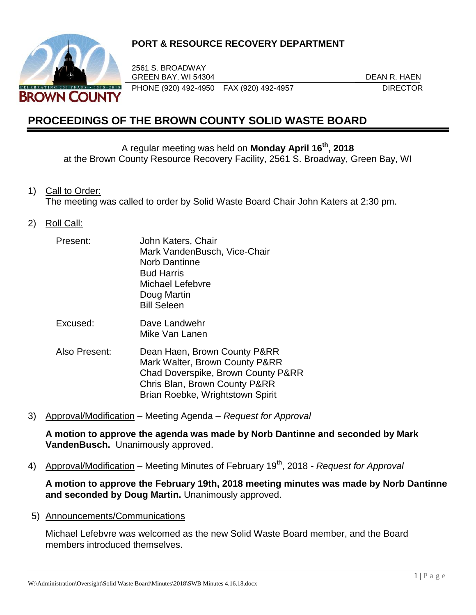

## **PORT & RESOURCE RECOVERY DEPARTMENT**

2561 S. BROADWAY GREEN BAY, WI 54304 DEAN R. HAEN PHONE (920) 492-4950 FAX (920) 492-4957 DIRECTOR

# **PROCEEDINGS OF THE BROWN COUNTY SOLID WASTE BOARD**

A regular meeting was held on **Monday April 16th , 2018**

at the Brown County Resource Recovery Facility, 2561 S. Broadway, Green Bay, WI

1) Call to Order:

The meeting was called to order by Solid Waste Board Chair John Katers at 2:30 pm.

2) Roll Call:

| Present:<br>Excused: | John Katers, Chair<br>Mark VandenBusch, Vice-Chair |
|----------------------|----------------------------------------------------|
|                      | <b>Norb Dantinne</b>                               |
|                      | <b>Bud Harris</b>                                  |
|                      | Michael Lefebvre                                   |
|                      | Doug Martin                                        |
|                      | <b>Bill Seleen</b>                                 |
|                      | Dave Landwehr<br>Mike Van Lanen                    |

- Also Present: Dean Haen, Brown County P&RR Mark Walter, Brown County P&RR Chad Doverspike, Brown County P&RR Chris Blan, Brown County P&RR Brian Roebke, Wrightstown Spirit
- 3) Approval/Modification Meeting Agenda *Request for Approval*

**A motion to approve the agenda was made by Norb Dantinne and seconded by Mark VandenBusch.** Unanimously approved.

4) Approval/Modification – Meeting Minutes of February 19<sup>th</sup>, 2018 *- Request for Approval* 

**A motion to approve the February 19th, 2018 meeting minutes was made by Norb Dantinne and seconded by Doug Martin.** Unanimously approved.

5) Announcements/Communications

Michael Lefebvre was welcomed as the new Solid Waste Board member, and the Board members introduced themselves.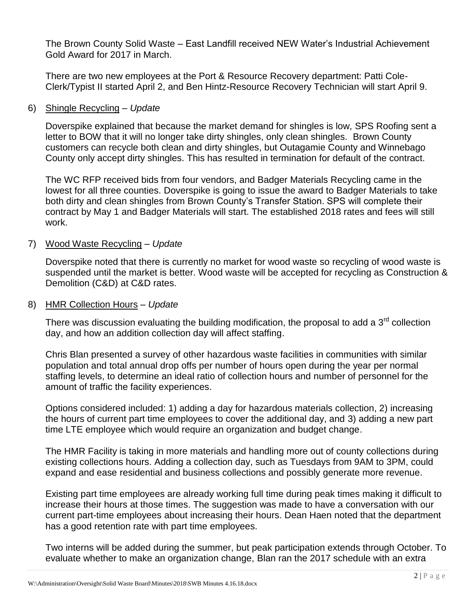The Brown County Solid Waste – East Landfill received NEW Water's Industrial Achievement Gold Award for 2017 in March.

There are two new employees at the Port & Resource Recovery department: Patti Cole-Clerk/Typist II started April 2, and Ben Hintz-Resource Recovery Technician will start April 9.

#### 6) Shingle Recycling – *Update*

Doverspike explained that because the market demand for shingles is low, SPS Roofing sent a letter to BOW that it will no longer take dirty shingles, only clean shingles. Brown County customers can recycle both clean and dirty shingles, but Outagamie County and Winnebago County only accept dirty shingles. This has resulted in termination for default of the contract.

The WC RFP received bids from four vendors, and Badger Materials Recycling came in the lowest for all three counties. Doverspike is going to issue the award to Badger Materials to take both dirty and clean shingles from Brown County's Transfer Station. SPS will complete their contract by May 1 and Badger Materials will start. The established 2018 rates and fees will still work.

#### 7) Wood Waste Recycling – *Update*

Doverspike noted that there is currently no market for wood waste so recycling of wood waste is suspended until the market is better. Wood waste will be accepted for recycling as Construction & Demolition (C&D) at C&D rates.

#### 8) HMR Collection Hours – *Update*

There was discussion evaluating the building modification, the proposal to add a  $3<sup>rd</sup>$  collection day, and how an addition collection day will affect staffing.

Chris Blan presented a survey of other hazardous waste facilities in communities with similar population and total annual drop offs per number of hours open during the year per normal staffing levels, to determine an ideal ratio of collection hours and number of personnel for the amount of traffic the facility experiences.

Options considered included: 1) adding a day for hazardous materials collection, 2) increasing the hours of current part time employees to cover the additional day, and 3) adding a new part time LTE employee which would require an organization and budget change.

The HMR Facility is taking in more materials and handling more out of county collections during existing collections hours. Adding a collection day, such as Tuesdays from 9AM to 3PM, could expand and ease residential and business collections and possibly generate more revenue.

Existing part time employees are already working full time during peak times making it difficult to increase their hours at those times. The suggestion was made to have a conversation with our current part-time employees about increasing their hours. Dean Haen noted that the department has a good retention rate with part time employees.

Two interns will be added during the summer, but peak participation extends through October. To evaluate whether to make an organization change, Blan ran the 2017 schedule with an extra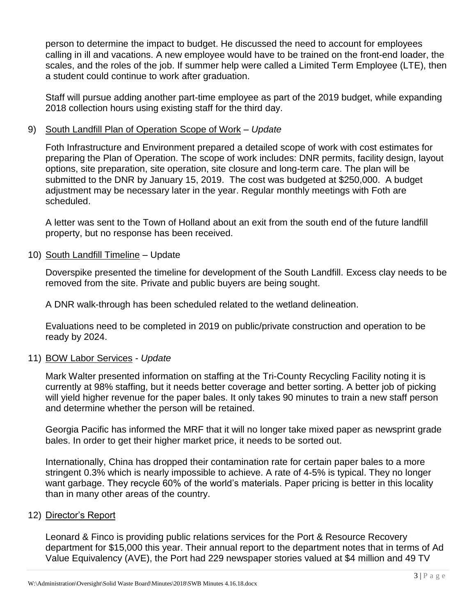person to determine the impact to budget. He discussed the need to account for employees calling in ill and vacations. A new employee would have to be trained on the front-end loader, the scales, and the roles of the job. If summer help were called a Limited Term Employee (LTE), then a student could continue to work after graduation.

Staff will pursue adding another part-time employee as part of the 2019 budget, while expanding 2018 collection hours using existing staff for the third day.

#### 9) South Landfill Plan of Operation Scope of Work – *Update*

Foth Infrastructure and Environment prepared a detailed scope of work with cost estimates for preparing the Plan of Operation. The scope of work includes: DNR permits, facility design, layout options, site preparation, site operation, site closure and long-term care. The plan will be submitted to the DNR by January 15, 2019. The cost was budgeted at \$250,000. A budget adjustment may be necessary later in the year. Regular monthly meetings with Foth are scheduled.

A letter was sent to the Town of Holland about an exit from the south end of the future landfill property, but no response has been received.

10) South Landfill Timeline – Update

Doverspike presented the timeline for development of the South Landfill. Excess clay needs to be removed from the site. Private and public buyers are being sought.

A DNR walk-through has been scheduled related to the wetland delineation.

Evaluations need to be completed in 2019 on public/private construction and operation to be ready by 2024.

## 11) BOW Labor Services - *Update*

Mark Walter presented information on staffing at the Tri-County Recycling Facility noting it is currently at 98% staffing, but it needs better coverage and better sorting. A better job of picking will yield higher revenue for the paper bales. It only takes 90 minutes to train a new staff person and determine whether the person will be retained.

Georgia Pacific has informed the MRF that it will no longer take mixed paper as newsprint grade bales. In order to get their higher market price, it needs to be sorted out.

Internationally, China has dropped their contamination rate for certain paper bales to a more stringent 0.3% which is nearly impossible to achieve. A rate of 4-5% is typical. They no longer want garbage. They recycle 60% of the world's materials. Paper pricing is better in this locality than in many other areas of the country.

## 12) Director's Report

Leonard & Finco is providing public relations services for the Port & Resource Recovery department for \$15,000 this year. Their annual report to the department notes that in terms of Ad Value Equivalency (AVE), the Port had 229 newspaper stories valued at \$4 million and 49 TV